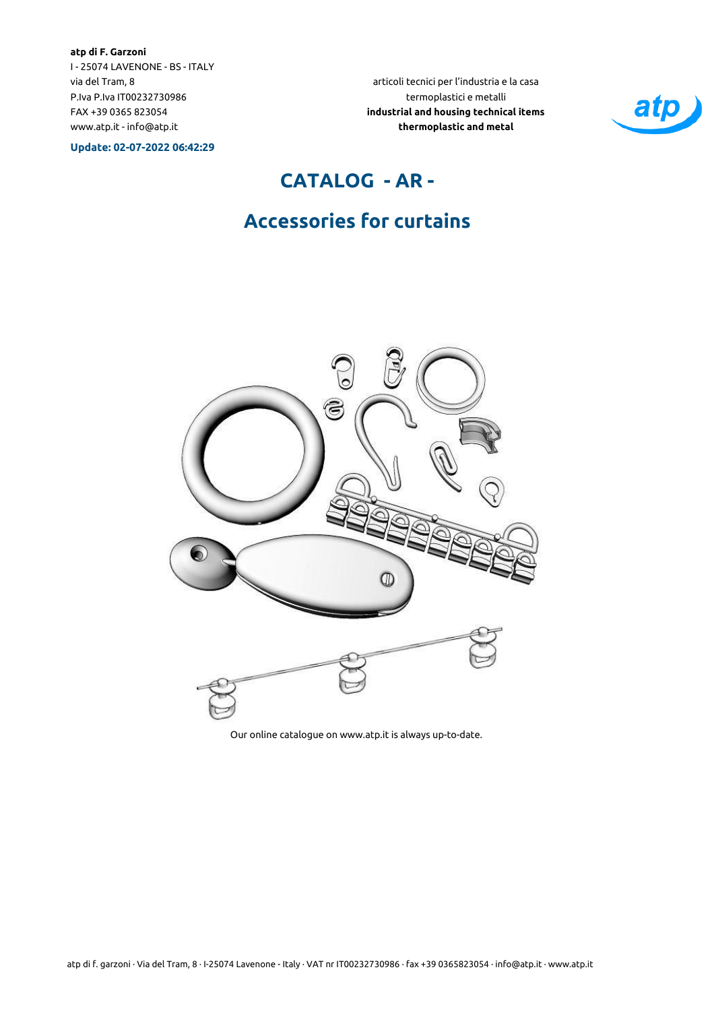**atp di F. Garzoni** I - 25074 LAVENONE - BS - ITALY via del Tram, 8 P.Iva P.Iva IT00232730986 FAX +39 0365 823054 www.atp.it - info@atp.it

**Update: 02-07-2022 06:42:29**

articoli tecnici per l'industria e la casa termoplastici e metalli **industrial and housing technical items thermoplastic and metal**



## **CATALOG - AR -**

## **Accessories for curtains**



Our online catalogue on www.atp.it is always up-to-date.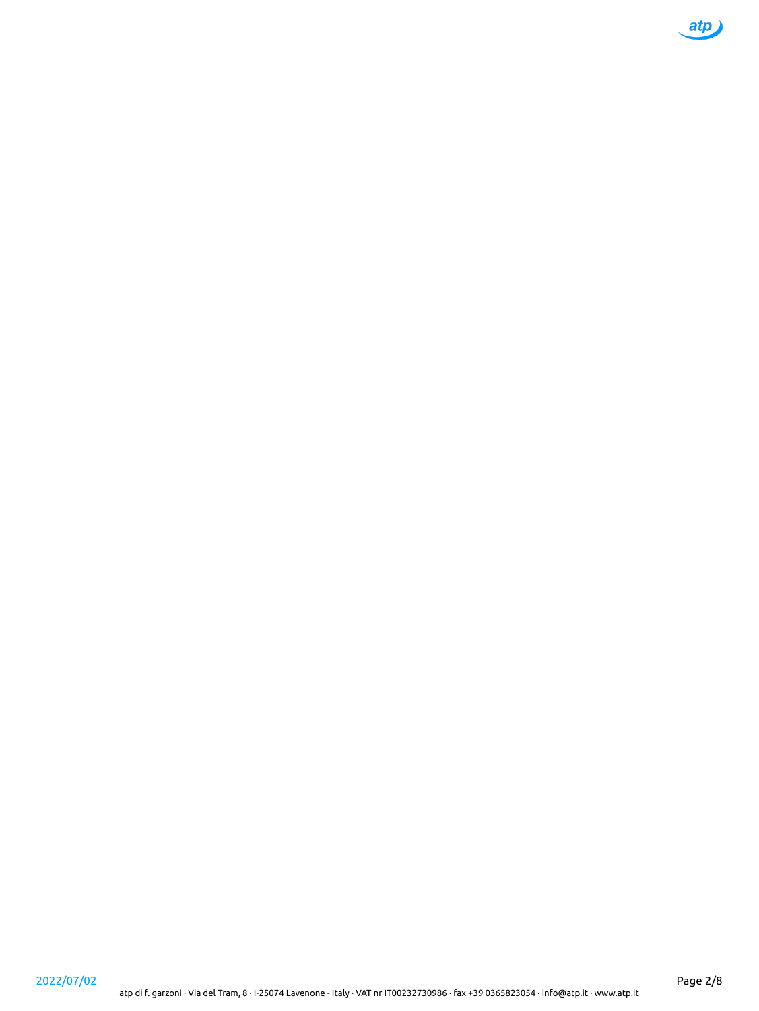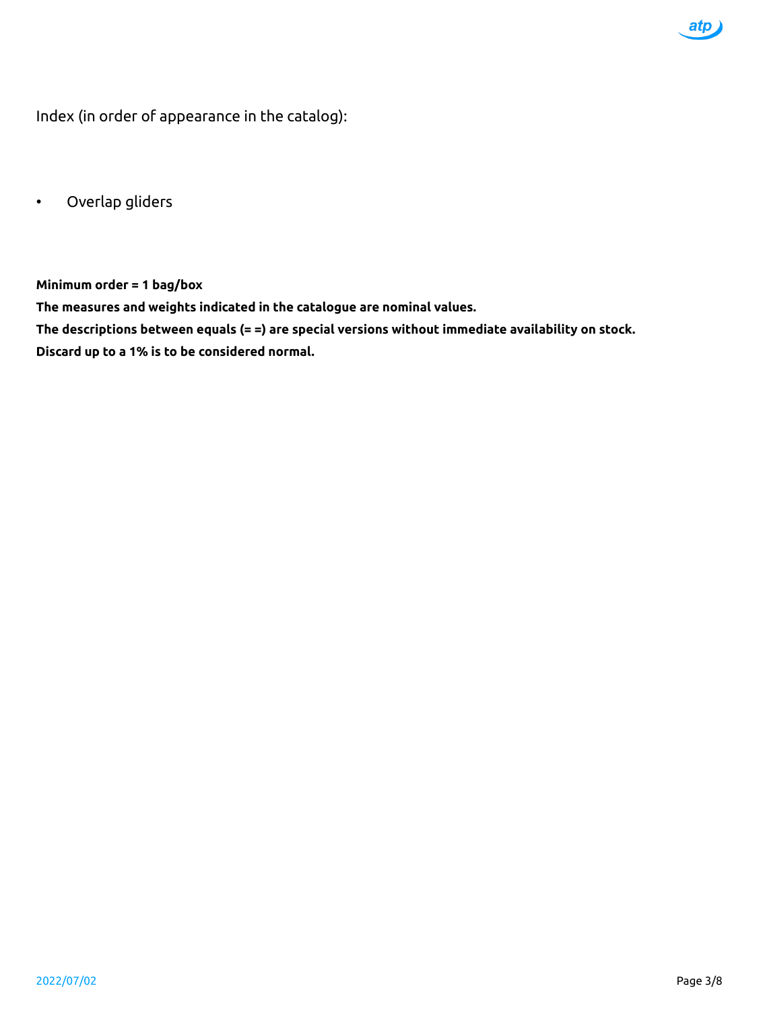

Index (in order of appearance in the catalog):

• Overlap gliders

## **Minimum order = 1 bag/box**

**The measures and weights indicated in the catalogue are nominal values. The descriptions between equals (= =) are special versions without immediate availability on stock. Discard up to a 1% is to be considered normal.**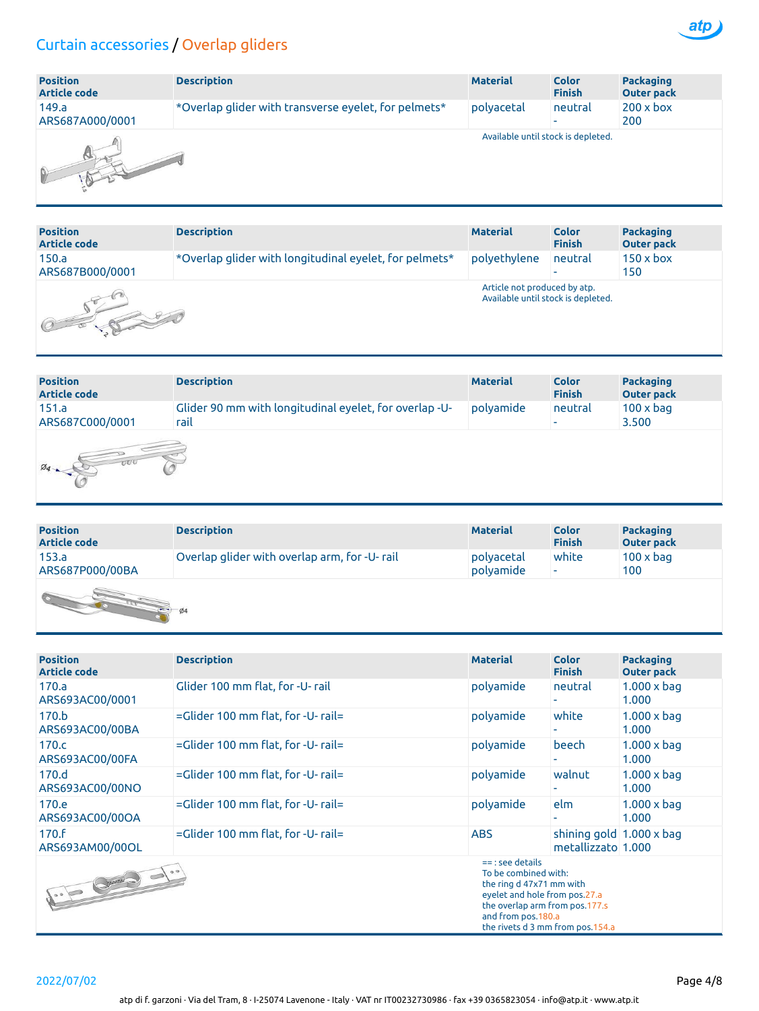## [Curtain accessories](https://www.atp.it/lang/EN/catalogo/cerca/std_id_categoria=1|cst_prodotto_principale=on|cst_gruppo_1=6) / [Overlap gliders](https://www.atp.it/lang/EN/catalogo/cerca/std_id_categoria=1|cst_prodotto_principale=on|cst_gruppo_1=26)

| <b>Position</b><br><b>Article code</b> | <b>Description</b>                                   | <b>Material</b>                    | <b>Color</b><br><b>Finish</b> | <b>Packaging</b><br><b>Outer pack</b> |
|----------------------------------------|------------------------------------------------------|------------------------------------|-------------------------------|---------------------------------------|
| 149.a<br>ARS687A000/0001               | *Overlap glider with transverse eyelet, for pelmets* | polyacetal                         | neutral                       | $200 \times$ box<br>200               |
|                                        |                                                      | Available until stock is depleted. |                               |                                       |

| <b>Position</b><br><b>Article code</b> | <b>Description</b>                                     | <b>Material</b>                                                    | <b>Color</b><br><b>Finish</b> | <b>Packaging</b><br><b>Outer pack</b> |
|----------------------------------------|--------------------------------------------------------|--------------------------------------------------------------------|-------------------------------|---------------------------------------|
| 150.a<br>ARS687B000/0001               | *Overlap glider with longitudinal eyelet, for pelmets* | polyethylene                                                       | neutral                       | $150 \times$ box<br>150               |
|                                        |                                                        | Article not produced by atp.<br>Available until stock is depleted. |                               |                                       |

| <b>Position</b><br><b>Article code</b> | <b>Description</b>                                             | <b>Material</b> | <b>Color</b><br><b>Finish</b> | <b>Packaging</b><br><b>Outer pack</b> |
|----------------------------------------|----------------------------------------------------------------|-----------------|-------------------------------|---------------------------------------|
| 151.a<br>ARS687C000/0001               | Glider 90 mm with longitudinal eyelet, for overlap -U-<br>rail | polyamide       | neutral<br>-                  | $100 \times$ bag<br>3.500             |
|                                        |                                                                |                 |                               |                                       |

| <b>Position</b><br><b>Article code</b> | <b>Description</b>                            | <b>Material</b>         | <b>Color</b><br><b>Finish</b> | <b>Packaging</b><br><b>Outer pack</b> |
|----------------------------------------|-----------------------------------------------|-------------------------|-------------------------------|---------------------------------------|
| 153.a<br>ARS687P000/00BA               | Overlap glider with overlap arm, for -U- rail | polyacetal<br>polyamide | white<br>۰                    | $100 \times$ bag<br>100               |
|                                        | $\rightarrow$ 04                              |                         |                               |                                       |

| <b>Position</b><br><b>Article code</b>                                                                                                                                                                                                                                                                                                                                                                                                                                                                                                                                | <b>Description</b>                       | <b>Material</b> | <b>Color</b><br><b>Finish</b>                  | <b>Packaging</b><br><b>Outer pack</b> |
|-----------------------------------------------------------------------------------------------------------------------------------------------------------------------------------------------------------------------------------------------------------------------------------------------------------------------------------------------------------------------------------------------------------------------------------------------------------------------------------------------------------------------------------------------------------------------|------------------------------------------|-----------------|------------------------------------------------|---------------------------------------|
| 170.a<br>ARS693AC00/0001                                                                                                                                                                                                                                                                                                                                                                                                                                                                                                                                              | Glider 100 mm flat, for -U- rail         | polyamide       | neutral                                        | $1.000 \times$ bag<br>1.000           |
| 170.b<br>ARS693AC00/00BA                                                                                                                                                                                                                                                                                                                                                                                                                                                                                                                                              | $=$ Glider 100 mm flat, for -U- rail $=$ | polyamide       | white                                          | $1.000 \times$ bag<br>1.000           |
| 170.c<br>ARS693AC00/00FA                                                                                                                                                                                                                                                                                                                                                                                                                                                                                                                                              | =Glider 100 mm flat, for -U- rail=       | polyamide       | beech                                          | $1.000 \times$ bag<br>1.000           |
| 170.d<br>ARS693AC00/00NO                                                                                                                                                                                                                                                                                                                                                                                                                                                                                                                                              | $=$ Glider 100 mm flat, for -U- rail $=$ | polyamide       | walnut                                         | $1.000 \times$ bag<br>1.000           |
| 170.e<br>ARS693AC00/00OA                                                                                                                                                                                                                                                                                                                                                                                                                                                                                                                                              | =Glider 100 mm flat, for -U- rail=       | polyamide       | elm                                            | $1.000 \times$ bag<br>1.000           |
| 170.f<br>ARS693AM00/00OL                                                                                                                                                                                                                                                                                                                                                                                                                                                                                                                                              | =Glider 100 mm flat, for -U- rail=       | <b>ABS</b>      | shining gold 1.000 x bag<br>metallizzato 1.000 |                                       |
| $==$ : see details<br>$\circ$<br>To be combined with:<br>$\begin{picture}(100,10) \put(0,0){\line(1,0){10}} \put(10,0){\line(1,0){10}} \put(10,0){\line(1,0){10}} \put(10,0){\line(1,0){10}} \put(10,0){\line(1,0){10}} \put(10,0){\line(1,0){10}} \put(10,0){\line(1,0){10}} \put(10,0){\line(1,0){10}} \put(10,0){\line(1,0){10}} \put(10,0){\line(1,0){10}} \put(10,0){\line(1,0){10}} \put(10,0){\line($<br>the ring d 47x71 mm with<br>eyelet and hole from pos.27.a<br>the overlap arm from pos.177.s<br>and from pos.180.a<br>the rivets d 3 mm from pos.154.a |                                          |                 |                                                |                                       |

atp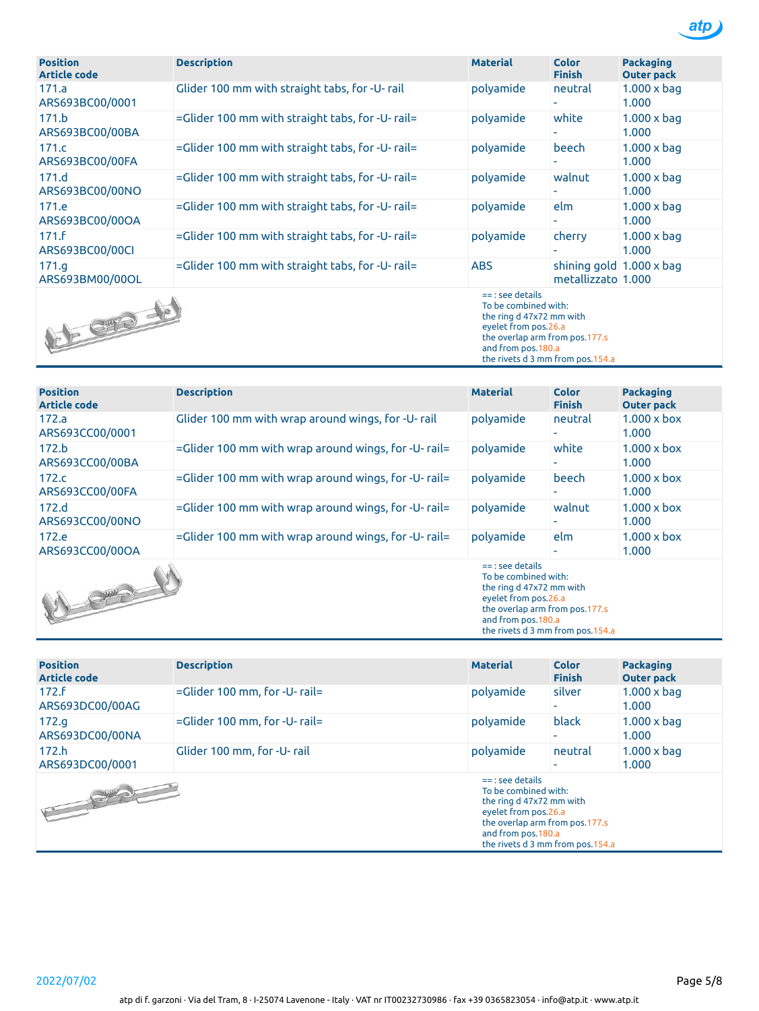

| <b>Position</b><br><b>Article code</b>                                                                                                                             | <b>Description</b>                               | <b>Material</b> | <b>Color</b><br><b>Finish</b> | <b>Packaging</b><br><b>Outer pack</b> |
|--------------------------------------------------------------------------------------------------------------------------------------------------------------------|--------------------------------------------------|-----------------|-------------------------------|---------------------------------------|
| 171.a<br>ARS693BC00/0001                                                                                                                                           | Glider 100 mm with straight tabs, for -U- rail   | polyamide       | neutral                       | $1.000 \times$ bag<br>1.000           |
| 171.b<br>ARS693BC00/00BA                                                                                                                                           | =Glider 100 mm with straight tabs, for -U- rail= | polyamide       | white                         | $1.000 \times$ bag<br>1.000           |
| 171.c<br>ARS693BC00/00FA                                                                                                                                           | =Glider 100 mm with straight tabs, for -U- rail= | polyamide       | beech                         | $1.000 \times$ bag<br>1.000           |
| 171.d<br>ARS693BC00/00NO                                                                                                                                           | =Glider 100 mm with straight tabs, for -U- rail= | polyamide       | walnut                        | $1.000 \times$ bag<br>1.000           |
| 171.e<br>ARS693BC00/00OA                                                                                                                                           | =Glider 100 mm with straight tabs, for -U- rail= | polyamide       | elm                           | $1.000 \times$ bag<br>1.000           |
| 171.f<br>ARS693BC00/00Cl                                                                                                                                           | =Glider 100 mm with straight tabs, for -U- rail= | polyamide       | cherry                        | $1.000 \times$ bag<br>1.000           |
| 171.9<br>ARS693BM00/00OL                                                                                                                                           | =Glider 100 mm with straight tabs, for -U- rail= | <b>ABS</b>      | metallizzato 1.000            | shining gold $1.000 \times$ bag       |
| $==$ : see details<br>To be combined with:<br>$-672 -$<br>the ring d 47x72 mm with<br>eyelet from pos.26.a<br>the overlap arm from pos.177.s<br>and from pos.180.a |                                                  |                 |                               |                                       |

the rivets d 3 mm from pos[.154.a](https://www.atp.it/lang/EN/catalogo/cerca/std_id_categoria=1%7Ccst_codice=ARC695R000/00BR)

| <b>Position</b><br><b>Article code</b>                                                                                                                                                     | <b>Description</b>                                         | <b>Material</b> | Color<br><b>Finish</b> | <b>Packaging</b><br><b>Outer pack</b> |
|--------------------------------------------------------------------------------------------------------------------------------------------------------------------------------------------|------------------------------------------------------------|-----------------|------------------------|---------------------------------------|
| 172.a<br>ARS693CC00/0001                                                                                                                                                                   | Glider 100 mm with wrap around wings, for -U- rail         | polyamide       | neutral                | $1.000 \times$ box<br>1.000           |
| 172.b<br>ARS693CC00/00BA                                                                                                                                                                   | $=$ Glider 100 mm with wrap around wings, for -U- rail $=$ | polyamide       | white                  | $1.000 \times$ box<br>1.000           |
| 172.c<br>ARS693CC00/00FA                                                                                                                                                                   | =Glider 100 mm with wrap around wings, for -U- rail=       | polyamide       | beech                  | $1.000 \times$ box<br>1.000           |
| 172.d<br>ARS693CC00/00NO                                                                                                                                                                   | $=$ Glider 100 mm with wrap around wings, for -U- rail $=$ | polyamide       | walnut                 | $1.000 \times$ box<br>1.000           |
| 172.e<br>ARS693CC00/00OA                                                                                                                                                                   | =Glider 100 mm with wrap around wings, for -U- rail=       | polyamide       | elm                    | $1.000 \times$ box<br>1.000           |
| $==$ : see details<br>To be combined with:<br>the ring d 47x72 mm with<br>eyelet from pos.26.a<br>the overlap arm from pos.177.s<br>and from pos.180.a<br>the rivets d 3 mm from pos.154.a |                                                            |                 |                        |                                       |

| <b>Position</b><br><b>Article code</b> | <b>Description</b>                  | <b>Material</b>                                                                                                                                                                            | <b>Color</b><br><b>Finish</b> | <b>Packaging</b><br><b>Outer pack</b> |
|----------------------------------------|-------------------------------------|--------------------------------------------------------------------------------------------------------------------------------------------------------------------------------------------|-------------------------------|---------------------------------------|
| 172.F<br>ARS693DC00/00AG               | =Glider 100 mm, for -U- rail=       | polyamide                                                                                                                                                                                  | silver                        | $1.000 \times$ bag<br>1.000           |
| 172.g<br>ARS693DC00/00NA               | $=$ Glider 100 mm, for -U- rail $=$ | polyamide                                                                                                                                                                                  | black<br>-                    | $1.000 \times$ bag<br>1.000           |
| 172.h<br>ARS693DC00/0001               | Glider 100 mm, for -U- rail         | polyamide                                                                                                                                                                                  | neutral                       | $1.000 \times$ bag<br>1.000           |
|                                        |                                     | $==$ : see details<br>To be combined with:<br>the ring d 47x72 mm with<br>eyelet from pos.26.a<br>the overlap arm from pos.177.s<br>and from pos.180.a<br>the rivets d 3 mm from pos.154.a |                               |                                       |

2022/07/02 Page 5/8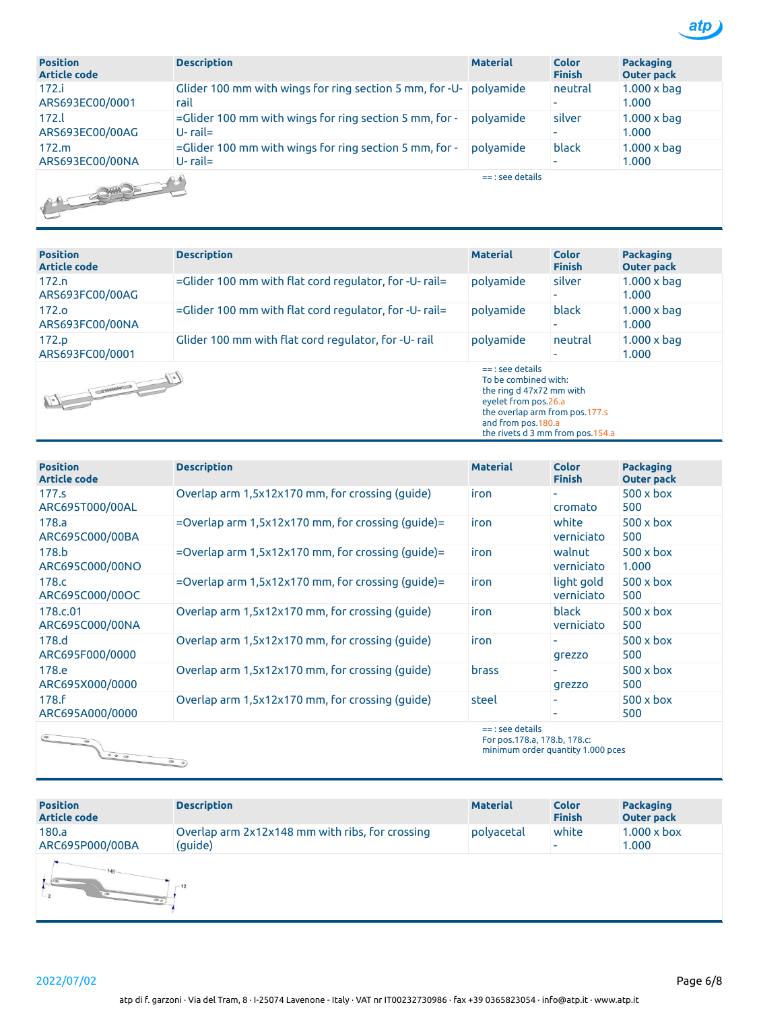

| <b>Position</b><br><b>Article code</b> | <b>Description</b>                                                         | <b>Material</b> | <b>Color</b><br><b>Finish</b> | <b>Packaging</b><br><b>Outer pack</b> |
|----------------------------------------|----------------------------------------------------------------------------|-----------------|-------------------------------|---------------------------------------|
| 172.i<br>ARS693EC00/0001               | Glider 100 mm with wings for ring section 5 mm, for -U- polyamide<br>rail  |                 | neutral                       | $1.000 \times$ bag<br>1.000           |
| 172.1<br>ARS693EC00/00AG               | $=$ Glider 100 mm with wings for ring section 5 mm, for $-$<br>$U$ - rail= | polyamide       | silver<br>۰                   | $1.000 \times$ bag<br>1.000           |
| 172.m<br>ARS693EC00/00NA               | $=$ Glider 100 mm with wings for ring section 5 mm, for $-$<br>$U$ - rail= | polyamide       | black                         | $1.000 \times$ bag<br>1.000           |
| $==$ : see details<br>CHANGE COMPS     |                                                                            |                 |                               |                                       |

| <b>Position</b><br><b>Article code</b> | <b>Description</b>                                           | <b>Material</b>                                                                                                                                        | Color<br><b>Finish</b>           | <b>Packaging</b><br><b>Outer pack</b> |
|----------------------------------------|--------------------------------------------------------------|--------------------------------------------------------------------------------------------------------------------------------------------------------|----------------------------------|---------------------------------------|
| 172.n<br>ARS693FC00/00AG               | $=$ Glider 100 mm with flat cord regulator, for -U- rail $=$ | polyamide                                                                                                                                              | silver                           | $1.000 \times$ bag<br>1.000           |
| 172.0<br>ARS693FC00/00NA               | $=$ Glider 100 mm with flat cord regulator, for -U- rail $=$ | polyamide                                                                                                                                              | black                            | $1.000 \times$ bag<br>1.000           |
| 172.p<br>ARS693FC00/0001               | Glider 100 mm with flat cord regulator, for -U- rail         | polyamide                                                                                                                                              | neutral<br>۰                     | $1.000 \times$ bag<br>1.000           |
| Commence (C)                           |                                                              | $==$ : see details<br>To be combined with:<br>the ring d 47x72 mm with<br>eyelet from pos.26.a<br>the overlap arm from pos.177.s<br>and from pos.180.a | the rivets d 3 mm from pos.154.a |                                       |

| <b>Position</b><br><b>Article code</b> | <b>Description</b>                                  | <b>Material</b>                                    | <b>Color</b><br><b>Finish</b> | <b>Packaging</b><br><b>Outer pack</b> |
|----------------------------------------|-----------------------------------------------------|----------------------------------------------------|-------------------------------|---------------------------------------|
| 177.s<br>ARC695T000/00AL               | Overlap arm 1,5x12x170 mm, for crossing (guide)     | <i>iron</i>                                        | cromato                       | $500 \times box$<br>500               |
| 178.a<br>ARC695C000/00BA               | =Overlap arm $1,5x12x170$ mm, for crossing (quide)= | iron                                               | white<br>verniciato           | $500 \times box$<br>500               |
| 178.b<br>ARC695C000/00NO               | =Overlap arm $1,5x12x170$ mm, for crossing (quide)= | <i>iron</i>                                        | walnut<br>verniciato          | $500 \times$ box<br>1.000             |
| 178.c<br>ARC695C000/00OC               | =Overlap arm $1,5x12x170$ mm, for crossing (quide)= | iron                                               | light gold<br>verniciato      | $500 \times$ box<br>500               |
| 178.c.01<br>ARC695C000/00NA            | Overlap arm 1,5x12x170 mm, for crossing (quide)     | <i>iron</i>                                        | black<br>verniciato           | $500 \times box$<br>500               |
| 178.d<br>ARC695F000/0000               | Overlap arm 1,5x12x170 mm, for crossing (quide)     | <i>iron</i>                                        | grezzo                        | $500 \times box$<br>500               |
| 178.e<br>ARC695X000/0000               | Overlap arm 1,5x12x170 mm, for crossing (quide)     | brass                                              | grezzo                        | $500 \times$ box<br>500               |
| 178.F<br>ARC695A000/0000               | Overlap arm 1,5x12x170 mm, for crossing (quide)     | steel                                              |                               | $500 \times$ box<br>500               |
| $\circ$                                |                                                     | $==$ : see details<br>$F = - - - 470 - 470 = -470$ |                               |                                       |

For pos.178.a, 178.b, 178.c: minimum order quantity 1.000 pces

| <b>Position</b><br><b>Article code</b> | <b>Description</b>                                         | <b>Material</b> | <b>Color</b><br><b>Finish</b> | <b>Packaging</b><br><b>Outer pack</b> |
|----------------------------------------|------------------------------------------------------------|-----------------|-------------------------------|---------------------------------------|
| 180.a<br>ARC695P000/00BA               | Overlap arm 2x12x148 mm with ribs, for crossing<br>(guide) | polyacetal      | white                         | $1.000 \times$ box<br>1.000           |
| $\circ$                                | 12                                                         |                 |                               |                                       |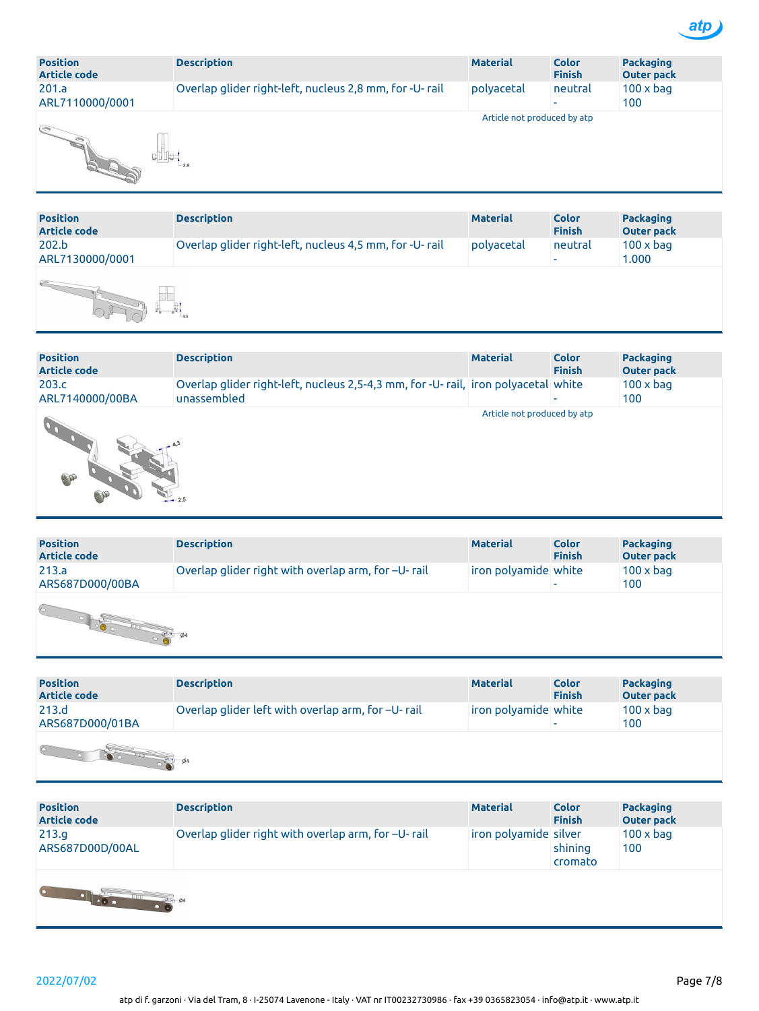| <b>Position</b><br><b>Article code</b> | <b>Description</b>                                      | <b>Material</b>             | <b>Color</b><br><b>Finish</b> | <b>Packaging</b><br><b>Outer pack</b> |
|----------------------------------------|---------------------------------------------------------|-----------------------------|-------------------------------|---------------------------------------|
| 201.a<br>ARL7110000/0001               | Overlap glider right-left, nucleus 2,8 mm, for -U- rail | polyacetal                  | neutral                       | $100 \times$ bag<br>100               |
|                                        |                                                         | Article not produced by atp |                               |                                       |

| <b>Position</b><br><b>Article code</b> | <b>Description</b>                                      | <b>Material</b> | <b>Color</b><br><b>Finish</b> | <b>Packaging</b><br><b>Outer pack</b> |
|----------------------------------------|---------------------------------------------------------|-----------------|-------------------------------|---------------------------------------|
| 202.b<br>ARL7130000/0001               | Overlap glider right-left, nucleus 4,5 mm, for -U- rail | polyacetal      | neutral                       | $100 \times$ bag<br>1.000             |
|                                        |                                                         |                 |                               |                                       |

| <b>Position</b><br><b>Article code</b> | <b>Description</b>                                                                                | <b>Material</b>             | <b>Color</b><br><b>Finish</b> | <b>Packaging</b><br><b>Outer pack</b> |
|----------------------------------------|---------------------------------------------------------------------------------------------------|-----------------------------|-------------------------------|---------------------------------------|
| 203.c<br>ARL7140000/00BA               | Overlap glider right-left, nucleus 2,5-4,3 mm, for -U- rail, iron polyacetal white<br>unassembled |                             |                               | $100 \times$ bag<br>100               |
| $\mathbb{P}$                           | $-2.5$                                                                                            | Article not produced by atp |                               |                                       |

| <b>Position</b><br><b>Article code</b> | <b>Description</b>                                  | <b>Material</b>      | <b>Color</b><br><b>Finish</b> | <b>Packaging</b><br><b>Outer pack</b> |
|----------------------------------------|-----------------------------------------------------|----------------------|-------------------------------|---------------------------------------|
| 213.a<br>ARS687D000/00BA               | Overlap glider right with overlap arm, for -U- rail | iron polyamide white |                               | $100 \times$ bag<br>100               |
|                                        |                                                     |                      |                               |                                       |

| <b>Position</b><br><b>Article code</b> | <b>Description</b>                                 | <b>Material</b>      | <b>Color</b><br><b>Finish</b> | <b>Packaging</b><br><b>Outer pack</b> |
|----------------------------------------|----------------------------------------------------|----------------------|-------------------------------|---------------------------------------|
| 213.d<br>ARS687D000/01BA               | Overlap glider left with overlap arm, for -U- rail | iron polyamide white |                               | $100 \times$ bag<br>100               |
|                                        | $\frac{1}{\sqrt{2}}$ $\phi$ 4                      |                      |                               |                                       |

| <b>Position</b><br><b>Article code</b> | <b>Description</b>                                  | <b>Material</b>       | <b>Color</b><br><b>Finish</b> | <b>Packaging</b><br><b>Outer pack</b> |
|----------------------------------------|-----------------------------------------------------|-----------------------|-------------------------------|---------------------------------------|
| 213.q<br>ARS687D00D/00AL               | Overlap glider right with overlap arm, for -U- rail | iron polyamide silver | shining<br>cromato            | $100 \times$ bag<br>100               |
| $\sqrt{2}$<br>$\blacksquare$           | $-04$                                               |                       |                               |                                       |

atp)